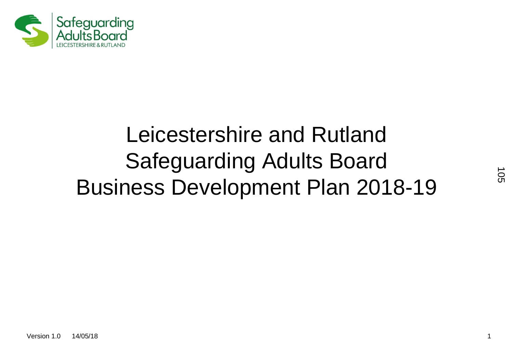

# Leicestershire and Rutland Safeguarding Adults Board Business Development Plan 2018-19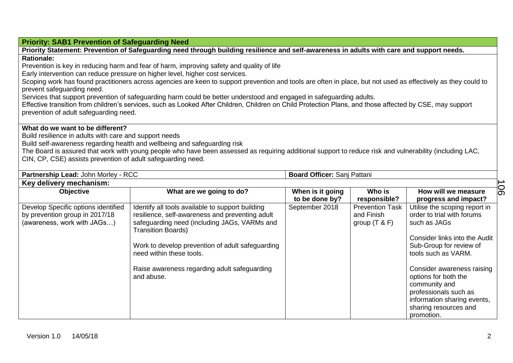#### **Priority: SAB1 Prevention of Safeguarding Need**

**Priority Statement: Prevention of Safeguarding need through building resilience and self-awareness in adults with care and support needs. Rationale:**  Prevention is key in reducing harm and fear of harm, improving safety and quality of life Early intervention can reduce pressure on higher level, higher cost services. Scoping work has found practitioners across agencies are keen to support prevention and tools are often in place, but not used as effectively as they could to

prevent safeguarding need.

Services that support prevention of safeguarding harm could be better understood and engaged in safeguarding adults.

Effective transition from children's services, such as Looked After Children, Children on Child Protection Plans, and those affected by CSE, may support prevention of adult safeguarding need.

### **What do we want to be different?**

Build resilience in adults with care and support needs

Build self-awareness regarding health and wellbeing and safeguarding risk

The Board is assured that work with young people who have been assessed as requiring additional support to reduce risk and vulnerability (including LAC, CIN, CP, CSE) assists prevention of adult safeguarding need.

**Partnership Lead: John Morley - RCC <br><b>Board Officer:** Sanj Pattani

#### **Key delivery mechanism: Objective What are we going to do? When is it going to be done by? Who is responsible? How will we measure progress and impact?** Develop Specific options identified by prevention group in 2017/18 (awareness, work with JAGs…) Identify all tools available to support building resilience, self-awareness and preventing adult safeguarding need (including JAGs, VARMs and Transition Boards) Work to develop prevention of adult safeguarding need within these tools. Raise awareness regarding adult safeguarding and abuse. September 2018 Prevention Task and Finish group (T & F) Utilise the scoping report in order to trial with forums such as JAGs Consider links into the Audit Sub-Group for review of tools such as VARM. Consider awareness raising options for both the community and professionals such as information sharing events, sharing resources and promotion. 106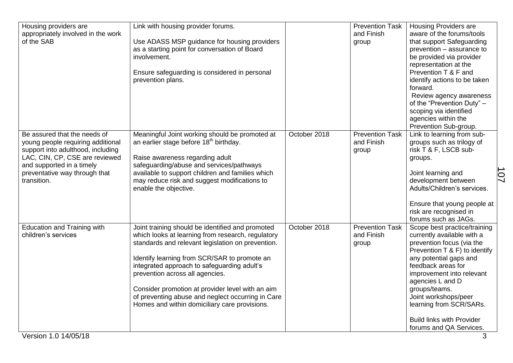| Housing providers are                                               | Link with housing provider forums.                 |              | <b>Prevention Task</b> | <b>Housing Providers are</b>                               |
|---------------------------------------------------------------------|----------------------------------------------------|--------------|------------------------|------------------------------------------------------------|
| appropriately involved in the work                                  |                                                    |              | and Finish             | aware of the forums/tools                                  |
| of the SAB                                                          | Use ADASS MSP guidance for housing providers       |              | group                  | that support Safeguarding                                  |
|                                                                     | as a starting point for conversation of Board      |              |                        | prevention – assurance to                                  |
|                                                                     | involvement.                                       |              |                        | be provided via provider                                   |
|                                                                     |                                                    |              |                        | representation at the                                      |
|                                                                     | Ensure safeguarding is considered in personal      |              |                        | Prevention T & F and                                       |
|                                                                     | prevention plans.                                  |              |                        | identify actions to be taken                               |
|                                                                     |                                                    |              |                        | forward.                                                   |
|                                                                     |                                                    |              |                        | Review agency awareness                                    |
|                                                                     |                                                    |              |                        | of the "Prevention Duty" -                                 |
|                                                                     |                                                    |              |                        | scoping via identified                                     |
|                                                                     |                                                    |              |                        | agencies within the                                        |
|                                                                     |                                                    |              |                        | Prevention Sub-group.                                      |
| Be assured that the needs of                                        | Meaningful Joint working should be promoted at     | October 2018 | <b>Prevention Task</b> | Link to learning from sub-                                 |
| young people requiring additional                                   | an earlier stage before 18 <sup>th</sup> birthday. |              | and Finish             | groups such as trilogy of                                  |
| support into adulthood, including<br>LAC, CIN, CP, CSE are reviewed | Raise awareness regarding adult                    |              | group                  | risk T & F, LSCB sub-<br>groups.                           |
| and supported in a timely                                           | safeguarding/abuse and services/pathways           |              |                        |                                                            |
| preventative way through that                                       | available to support children and families which   |              |                        | Joint learning and                                         |
| transition.                                                         | may reduce risk and suggest modifications to       |              |                        | 107<br>development between                                 |
|                                                                     | enable the objective.                              |              |                        | Adults/Children's services.                                |
|                                                                     |                                                    |              |                        |                                                            |
|                                                                     |                                                    |              |                        | Ensure that young people at                                |
|                                                                     |                                                    |              |                        | risk are recognised in                                     |
|                                                                     |                                                    |              |                        | forums such as JAGs.                                       |
| <b>Education and Training with</b>                                  | Joint training should be identified and promoted   | October 2018 | <b>Prevention Task</b> | Scope best practice/training                               |
| children's services                                                 | which looks at learning from research, regulatory  |              | and Finish             | currently available with a                                 |
|                                                                     | standards and relevant legislation on prevention.  |              | group                  | prevention focus (via the<br>Prevention T & F) to identify |
|                                                                     | Identify learning from SCR/SAR to promote an       |              |                        | any potential gaps and                                     |
|                                                                     | integrated approach to safeguarding adult's        |              |                        | feedback areas for                                         |
|                                                                     | prevention across all agencies.                    |              |                        | improvement into relevant                                  |
|                                                                     |                                                    |              |                        | agencies L and D                                           |
|                                                                     | Consider promotion at provider level with an aim   |              |                        | groups/teams.                                              |
|                                                                     | of preventing abuse and neglect occurring in Care  |              |                        | Joint workshops/peer                                       |
|                                                                     | Homes and within domiciliary care provisions.      |              |                        | learning from SCR/SARs.                                    |
|                                                                     |                                                    |              |                        | <b>Build links with Provider</b>                           |
|                                                                     |                                                    |              |                        | forums and QA Services.                                    |
| Version 1.0 14/05/18                                                |                                                    |              |                        | 3                                                          |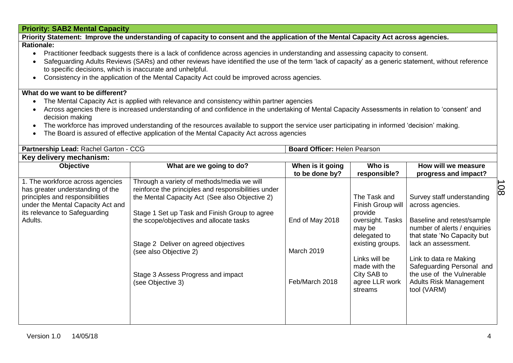## **Priority: SAB2 Mental Capacity**

**Priority Statement: Improve the understanding of capacity to consent and the application of the Mental Capacity Act across agencies. Rationale:** 

#### Practitioner feedback suggests there is a lack of confidence across agencies in understanding and assessing capacity to consent.

- Safeguarding Adults Reviews (SARs) and other reviews have identified the use of the term 'lack of capacity' as a generic statement, without reference to specific decisions, which is inaccurate and unhelpful.
- Consistency in the application of the Mental Capacity Act could be improved across agencies.

### **What do we want to be different?**

- The Mental Capacity Act is applied with relevance and consistency within partner agencies
- Across agencies there is increased understanding of and confidence in the undertaking of Mental Capacity Assessments in relation to 'consent' and decision making
- The workforce has improved understanding of the resources available to support the service user participating in informed 'decision' making.
- The Board is assured of effective application of the Mental Capacity Act across agencies

| Partnership Lead: Rachel Garton - CCG                                                                                                                                                    |                                                                                                                                                                                                                                                                                                                                                                              | <b>Board Officer: Helen Pearson</b>             |                                                                                                                                                                                              |                                                                                                                                                                                                                                                                                                        |    |
|------------------------------------------------------------------------------------------------------------------------------------------------------------------------------------------|------------------------------------------------------------------------------------------------------------------------------------------------------------------------------------------------------------------------------------------------------------------------------------------------------------------------------------------------------------------------------|-------------------------------------------------|----------------------------------------------------------------------------------------------------------------------------------------------------------------------------------------------|--------------------------------------------------------------------------------------------------------------------------------------------------------------------------------------------------------------------------------------------------------------------------------------------------------|----|
| Key delivery mechanism:                                                                                                                                                                  |                                                                                                                                                                                                                                                                                                                                                                              |                                                 |                                                                                                                                                                                              |                                                                                                                                                                                                                                                                                                        |    |
| Objective                                                                                                                                                                                | What are we going to do?                                                                                                                                                                                                                                                                                                                                                     | When is it going<br>to be done by?              | Who is<br>responsible?                                                                                                                                                                       | How will we measure<br>progress and impact?                                                                                                                                                                                                                                                            |    |
| 1. The workforce across agencies<br>has greater understanding of the<br>principles and responsibilities<br>under the Mental Capacity Act and<br>its relevance to Safeguarding<br>Adults. | Through a variety of methods/media we will<br>reinforce the principles and responsibilities under<br>the Mental Capacity Act (See also Objective 2)<br>Stage 1 Set up Task and Finish Group to agree<br>the scope/objectives and allocate tasks<br>Stage 2 Deliver on agreed objectives<br>(see also Objective 2)<br>Stage 3 Assess Progress and impact<br>(see Objective 3) | End of May 2018<br>March 2019<br>Feb/March 2018 | The Task and<br>Finish Group will<br>provide<br>oversight. Tasks<br>may be<br>delegated to<br>existing groups.<br>Links will be<br>made with the<br>City SAB to<br>agree LLR work<br>streams | Survey staff understanding<br>across agencies.<br>Baseline and retest/sample<br>number of alerts / enquiries<br>that state 'No Capacity but<br>lack an assessment.<br>Link to data re Making<br>Safeguarding Personal and<br>the use of the Vulnerable<br><b>Adults Risk Management</b><br>tool (VARM) | 80 |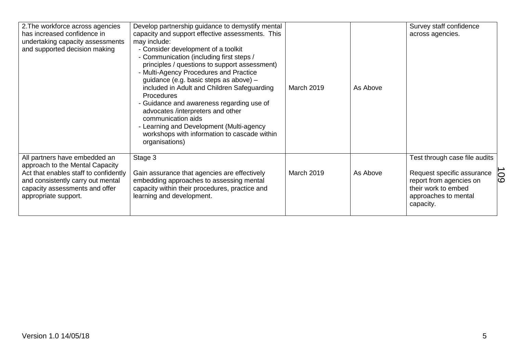| 2. The workforce across agencies<br>has increased confidence in<br>undertaking capacity assessments<br>and supported decision making                                                                     | Develop partnership guidance to demystify mental<br>capacity and support effective assessments. This<br>may include:<br>- Consider development of a toolkit<br>- Communication (including first steps /<br>principles / questions to support assessment)<br>- Multi-Agency Procedures and Practice<br>guidance (e.g. basic steps as above) -<br>included in Adult and Children Safeguarding<br>Procedures<br>- Guidance and awareness regarding use of<br>advocates /interpreters and other<br>communication aids<br>- Learning and Development (Multi-agency<br>workshops with information to cascade within<br>organisations) | March 2019        | As Above | Survey staff confidence<br>across agencies.                                                                                                        |     |
|----------------------------------------------------------------------------------------------------------------------------------------------------------------------------------------------------------|---------------------------------------------------------------------------------------------------------------------------------------------------------------------------------------------------------------------------------------------------------------------------------------------------------------------------------------------------------------------------------------------------------------------------------------------------------------------------------------------------------------------------------------------------------------------------------------------------------------------------------|-------------------|----------|----------------------------------------------------------------------------------------------------------------------------------------------------|-----|
| All partners have embedded an<br>approach to the Mental Capacity<br>Act that enables staff to confidently<br>and consistently carry out mental<br>capacity assessments and offer<br>appropriate support. | Stage 3<br>Gain assurance that agencies are effectively<br>embedding approaches to assessing mental<br>capacity within their procedures, practice and<br>learning and development.                                                                                                                                                                                                                                                                                                                                                                                                                                              | <b>March 2019</b> | As Above | Test through case file audits<br>Request specific assurance<br>report from agencies on<br>their work to embed<br>approaches to mental<br>capacity. | 109 |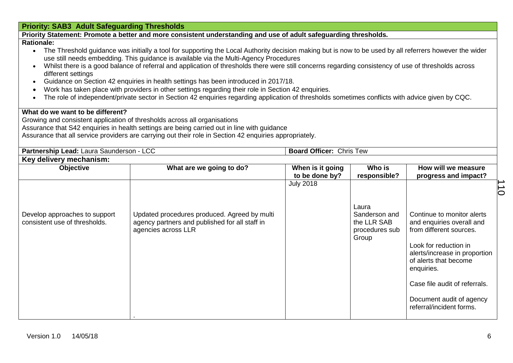|                                                                                                                                                                                                                                                                                                                         | <b>Priority: SAB3 Adult Safeguarding Thresholds</b>                                                                                                                                                                                                                                                                                                                                                                                                                                                                                                                                                                                                                                                                                                          |                                    |                        |                                              |  |
|-------------------------------------------------------------------------------------------------------------------------------------------------------------------------------------------------------------------------------------------------------------------------------------------------------------------------|--------------------------------------------------------------------------------------------------------------------------------------------------------------------------------------------------------------------------------------------------------------------------------------------------------------------------------------------------------------------------------------------------------------------------------------------------------------------------------------------------------------------------------------------------------------------------------------------------------------------------------------------------------------------------------------------------------------------------------------------------------------|------------------------------------|------------------------|----------------------------------------------|--|
|                                                                                                                                                                                                                                                                                                                         | Priority Statement: Promote a better and more consistent understanding and use of adult safeguarding thresholds.                                                                                                                                                                                                                                                                                                                                                                                                                                                                                                                                                                                                                                             |                                    |                        |                                              |  |
| <b>Rationale:</b><br>$\bullet$<br>different settings<br>$\bullet$<br>$\bullet$                                                                                                                                                                                                                                          | • The Threshold guidance was initially a tool for supporting the Local Authority decision making but is now to be used by all referrers however the wider<br>use still needs embedding. This guidance is available via the Multi-Agency Procedures<br>Whilst there is a good balance of referral and application of thresholds there were still concerns regarding consistency of use of thresholds across<br>Guidance on Section 42 enquiries in health settings has been introduced in 2017/18.<br>Work has taken place with providers in other settings regarding their role in Section 42 enquiries.<br>The role of independent/private sector in Section 42 enquiries regarding application of thresholds sometimes conflicts with advice given by CQC. |                                    |                        |                                              |  |
| What do we want to be different?<br>Growing and consistent application of thresholds across all organisations<br>Assurance that S42 enquiries in health settings are being carried out in line with guidance<br>Assurance that all service providers are carrying out their role in Section 42 enquiries appropriately. |                                                                                                                                                                                                                                                                                                                                                                                                                                                                                                                                                                                                                                                                                                                                                              |                                    |                        |                                              |  |
| Partnership Lead: Laura Saunderson - LCC                                                                                                                                                                                                                                                                                |                                                                                                                                                                                                                                                                                                                                                                                                                                                                                                                                                                                                                                                                                                                                                              | <b>Board Officer: Chris Tew</b>    |                        |                                              |  |
| Key delivery mechanism:                                                                                                                                                                                                                                                                                                 |                                                                                                                                                                                                                                                                                                                                                                                                                                                                                                                                                                                                                                                                                                                                                              |                                    |                        |                                              |  |
| Objective                                                                                                                                                                                                                                                                                                               | What are we going to do?                                                                                                                                                                                                                                                                                                                                                                                                                                                                                                                                                                                                                                                                                                                                     | When is it going<br>to be done by? | Who is<br>responsible? | How will we measure<br>progress and impact?  |  |
| Develop approaches to support<br>consistent use of thresholds.                                                                                                                                                                                                                                                          | Updated procedures produced. Agreed by multi<br>agency partners and published for all staff in                                                                                                                                                                                                                                                                                                                                                                                                                                                                                                                                                                                                                                                               | <b>July 2018</b>                   | Laura<br>Sanderson and | $\overline{0}$<br>Continue to monitor alerts |  |

.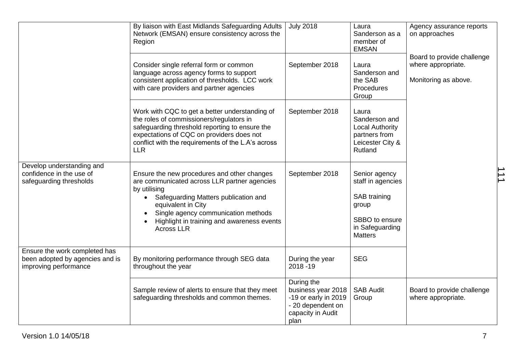|                                                                                           | By liaison with East Midlands Safeguarding Adults<br>Network (EMSAN) ensure consistency across the<br>Region                                                                                                                                                                                     | <b>July 2018</b>                                                                                           | Laura<br>Sanderson as a<br>member of<br><b>EMSAN</b>                                                               | Agency assurance reports<br>on approaches                                |
|-------------------------------------------------------------------------------------------|--------------------------------------------------------------------------------------------------------------------------------------------------------------------------------------------------------------------------------------------------------------------------------------------------|------------------------------------------------------------------------------------------------------------|--------------------------------------------------------------------------------------------------------------------|--------------------------------------------------------------------------|
|                                                                                           | Consider single referral form or common<br>language across agency forms to support<br>consistent application of thresholds. LCC work<br>with care providers and partner agencies                                                                                                                 | September 2018                                                                                             | Laura<br>Sanderson and<br>the SAB<br>Procedures<br>Group                                                           | Board to provide challenge<br>where appropriate.<br>Monitoring as above. |
|                                                                                           | Work with CQC to get a better understanding of<br>the roles of commissioners/regulators in<br>safeguarding threshold reporting to ensure the<br>expectations of CQC on providers does not<br>conflict with the requirements of the L.A's across<br><b>LLR</b>                                    | September 2018                                                                                             | Laura<br>Sanderson and<br><b>Local Authority</b><br>partners from<br>Leicester City &<br>Rutland                   |                                                                          |
| Develop understanding and<br>confidence in the use of<br>safeguarding thresholds          | Ensure the new procedures and other changes<br>are communicated across LLR partner agencies<br>by utilising<br>Safeguarding Matters publication and<br>$\bullet$<br>equivalent in City<br>Single agency communication methods<br>Highlight in training and awareness events<br><b>Across LLR</b> | September 2018                                                                                             | Senior agency<br>staff in agencies<br>SAB training<br>group<br>SBBO to ensure<br>in Safeguarding<br><b>Matters</b> |                                                                          |
| Ensure the work completed has<br>been adopted by agencies and is<br>improving performance | By monitoring performance through SEG data<br>throughout the year                                                                                                                                                                                                                                | During the year<br>2018-19                                                                                 | <b>SEG</b>                                                                                                         |                                                                          |
|                                                                                           | Sample review of alerts to ensure that they meet<br>safeguarding thresholds and common themes.                                                                                                                                                                                                   | During the<br>business year 2018<br>-19 or early in 2019<br>- 20 dependent on<br>capacity in Audit<br>plan | <b>SAB Audit</b><br>Group                                                                                          | Board to provide challenge<br>where appropriate.                         |